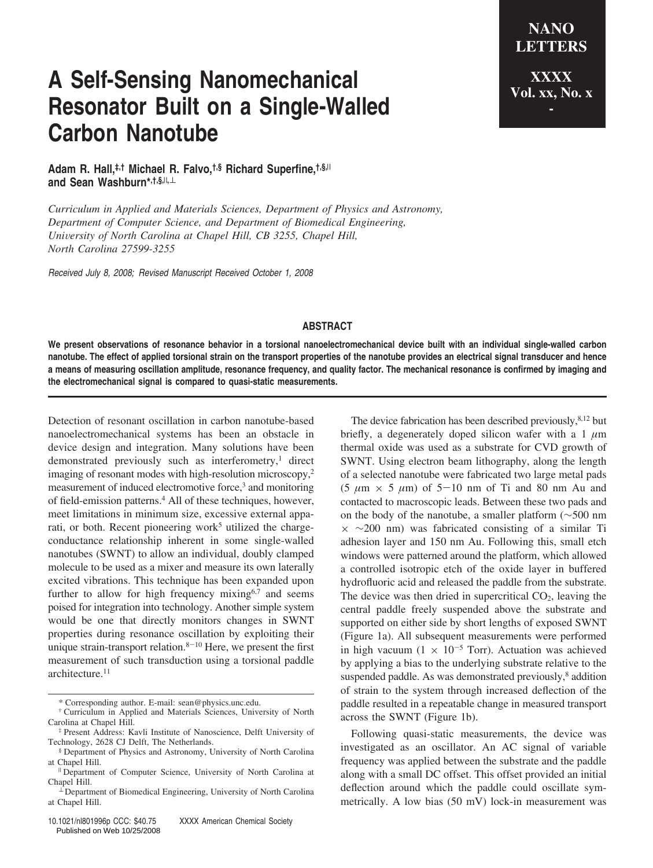## **A Self-Sensing Nanomechanical Resonator Built on a Single-Walled Carbon Nanotube**

**LETTERS XXXX Vol. xx, No. x -**

**NANO**

**Adam R. Hall,‡,† Michael R. Falvo,†,§ Richard Superfine,†,§,**<sup>|</sup> **and Sean Washburn\*,†,§,**<sup>|</sup>**,**<sup>⊥</sup>

*Curriculum in Applied and Materials Sciences, Department of Physics and Astronomy, Department of Computer Science, and Department of Biomedical Engineering, University of North Carolina at Chapel Hill, CB 3255, Chapel Hill, North Carolina 27599-3255*

*Received July 8, 2008; Revised Manuscript Received October 1, 2008*

## **ABSTRACT**

**We present observations of resonance behavior in a torsional nanoelectromechanical device built with an individual single-walled carbon nanotube. The effect of applied torsional strain on the transport properties of the nanotube provides an electrical signal transducer and hence a means of measuring oscillation amplitude, resonance frequency, and quality factor. The mechanical resonance is confirmed by imaging and the electromechanical signal is compared to quasi-static measurements.**

Detection of resonant oscillation in carbon nanotube-based nanoelectromechanical systems has been an obstacle in device design and integration. Many solutions have been demonstrated previously such as interferometry,<sup>1</sup> direct imaging of resonant modes with high-resolution microscopy,2 measurement of induced electromotive force,<sup>3</sup> and monitoring of field-emission patterns.4 All of these techniques, however, meet limitations in minimum size, excessive external apparati, or both. Recent pioneering work<sup>5</sup> utilized the chargeconductance relationship inherent in some single-walled nanotubes (SWNT) to allow an individual, doubly clamped molecule to be used as a mixer and measure its own laterally excited vibrations. This technique has been expanded upon further to allow for high frequency mixing $6,7$  and seems poised for integration into technology. Another simple system would be one that directly monitors changes in SWNT properties during resonance oscillation by exploiting their unique strain-transport relation. $8-10$  Here, we present the first measurement of such transduction using a torsional paddle architecture.<sup>11</sup>

The device fabrication has been described previously, $8,12$  but briefly, a degenerately doped silicon wafer with a 1 *µ*m thermal oxide was used as a substrate for CVD growth of SWNT. Using electron beam lithography, along the length of a selected nanotube were fabricated two large metal pads (5  $\mu$ m  $\times$  5  $\mu$ m) of 5–10 nm of Ti and 80 nm Au and contacted to macroscopic leads. Between these two pads and on the body of the nanotube, a smaller platform (∼500 nm  $\times$  ~200 nm) was fabricated consisting of a similar Ti adhesion layer and 150 nm Au. Following this, small etch windows were patterned around the platform, which allowed a controlled isotropic etch of the oxide layer in buffered hydrofluoric acid and released the paddle from the substrate. The device was then dried in supercritical  $CO<sub>2</sub>$ , leaving the central paddle freely suspended above the substrate and supported on either side by short lengths of exposed SWNT (Figure 1a). All subsequent measurements were performed in high vacuum (1  $\times$  10<sup>-5</sup> Torr). Actuation was achieved by applying a bias to the underlying substrate relative to the suspended paddle. As was demonstrated previously,<sup>8</sup> addition of strain to the system through increased deflection of the paddle resulted in a repeatable change in measured transport across the SWNT (Figure 1b).

Following quasi-static measurements, the device was investigated as an oscillator. An AC signal of variable frequency was applied between the substrate and the paddle along with a small DC offset. This offset provided an initial deflection around which the paddle could oscillate symmetrically. A low bias (50 mV) lock-in measurement was

<sup>\*</sup> Corresponding author. E-mail: sean@physics.unc.edu.

<sup>†</sup> Curriculum in Applied and Materials Sciences, University of North Carolina at Chapel Hill.

<sup>‡</sup> Present Address: Kavli Institute of Nanoscience, Delft University of Technology, 2628 CJ Delft, The Netherlands.

<sup>§</sup> Department of Physics and Astronomy, University of North Carolina at Chapel Hill.

Department of Computer Science, University of North Carolina at Chapel Hill.

<sup>⊥</sup> Department of Biomedical Engineering, University of North Carolina at Chapel Hill.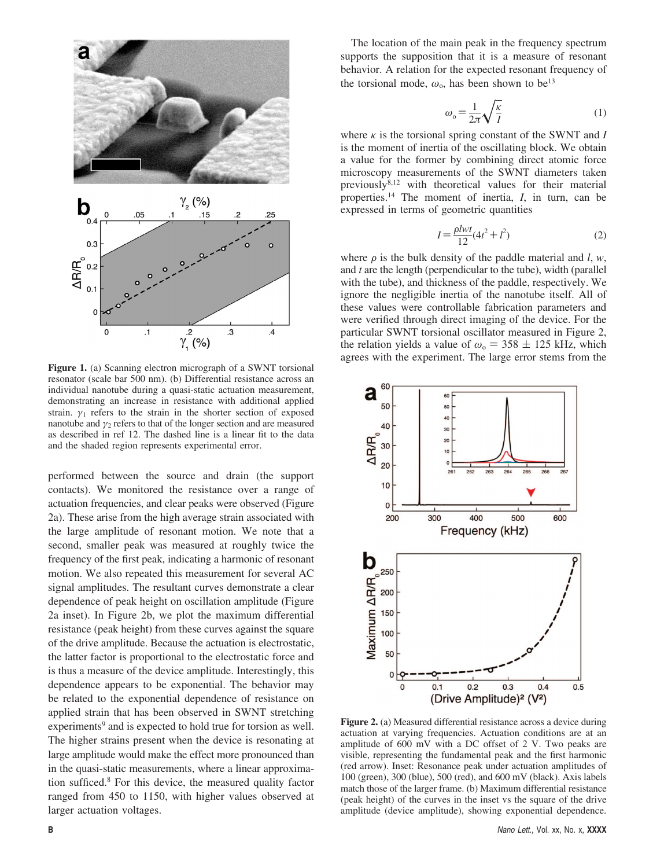

**Figure 1.** (a) Scanning electron micrograph of a SWNT torsional resonator (scale bar 500 nm). (b) Differential resistance across an individual nanotube during a quasi-static actuation measurement, demonstrating an increase in resistance with additional applied strain.  $\gamma_1$  refers to the strain in the shorter section of exposed nanotube and  $\gamma_2$  refers to that of the longer section and are measured as described in ref 12. The dashed line is a linear fit to the data and the shaded region represents experimental error.

performed between the source and drain (the support contacts). We monitored the resistance over a range of actuation frequencies, and clear peaks were observed (Figure 2a). These arise from the high average strain associated with the large amplitude of resonant motion. We note that a second, smaller peak was measured at roughly twice the frequency of the first peak, indicating a harmonic of resonant motion. We also repeated this measurement for several AC signal amplitudes. The resultant curves demonstrate a clear dependence of peak height on oscillation amplitude (Figure 2a inset). In Figure 2b, we plot the maximum differential resistance (peak height) from these curves against the square of the drive amplitude. Because the actuation is electrostatic, the latter factor is proportional to the electrostatic force and is thus a measure of the device amplitude. Interestingly, this dependence appears to be exponential. The behavior may be related to the exponential dependence of resistance on applied strain that has been observed in SWNT stretching experiments<sup>9</sup> and is expected to hold true for torsion as well. The higher strains present when the device is resonating at large amplitude would make the effect more pronounced than in the quasi-static measurements, where a linear approximation sufficed.8 For this device, the measured quality factor ranged from 450 to 1150, with higher values observed at larger actuation voltages.

The location of the main peak in the frequency spectrum supports the supposition that it is a measure of resonant behavior. A relation for the expected resonant frequency of the torsional mode,  $\omega_0$ , has been shown to be<sup>13</sup>

$$
\omega_{\text{o}} = \frac{1}{2\pi} \sqrt{\frac{\kappa}{I}} \tag{1}
$$

where  $\kappa$  is the torsional spring constant of the SWNT and *I* is the moment of inertia of the oscillating block. We obtain a value for the former by combining direct atomic force microscopy measurements of the SWNT diameters taken previously<sup>8,12</sup> with theoretical values for their material properties.14 The moment of inertia, *I*, in turn, can be expressed in terms of geometric quantities

$$
I = \frac{\rho lwt}{12} (4t^2 + l^2)
$$
 (2)

where  $\rho$  is the bulk density of the paddle material and *l*, *w*, and *t* are the length (perpendicular to the tube), width (parallel with the tube), and thickness of the paddle, respectively. We ignore the negligible inertia of the nanotube itself. All of these values were controllable fabrication parameters and were verified through direct imaging of the device. For the particular SWNT torsional oscillator measured in Figure 2, the relation yields a value of  $\omega_0 = 358 \pm 125$  kHz, which agrees with the experiment. The large error stems from the



**Figure 2.** (a) Measured differential resistance across a device during actuation at varying frequencies. Actuation conditions are at an amplitude of 600 mV with a DC offset of 2 V. Two peaks are visible, representing the fundamental peak and the first harmonic (red arrow). Inset: Resonance peak under actuation amplitudes of 100 (green), 300 (blue), 500 (red), and 600 mV (black). Axis labels match those of the larger frame. (b) Maximum differential resistance (peak height) of the curves in the inset vs the square of the drive amplitude (device amplitude), showing exponential dependence.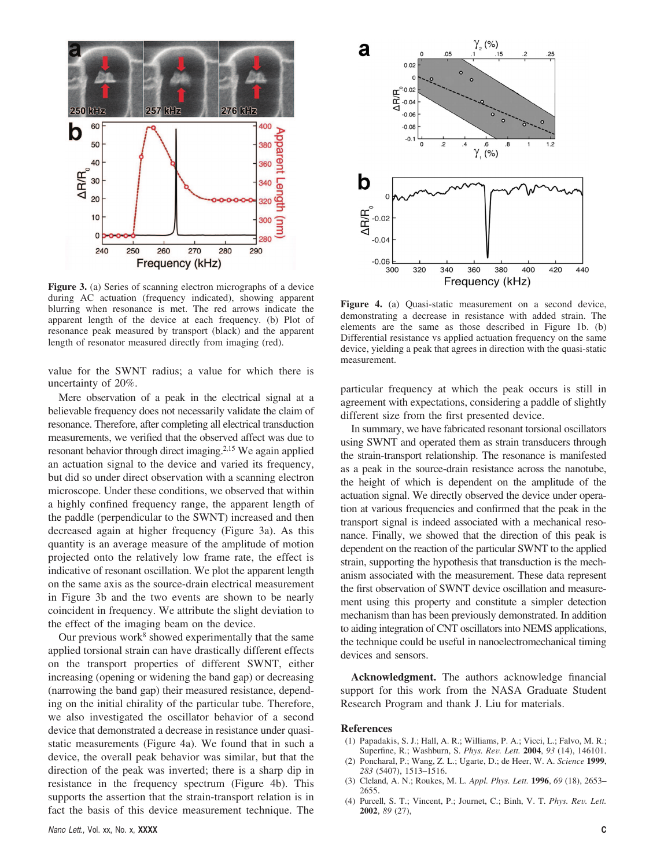

**Figure 3.** (a) Series of scanning electron micrographs of a device during AC actuation (frequency indicated), showing apparent blurring when resonance is met. The red arrows indicate the apparent length of the device at each frequency. (b) Plot of resonance peak measured by transport (black) and the apparent length of resonator measured directly from imaging (red).

value for the SWNT radius; a value for which there is uncertainty of 20%.

Mere observation of a peak in the electrical signal at a believable frequency does not necessarily validate the claim of resonance. Therefore, after completing all electrical transduction measurements, we verified that the observed affect was due to resonant behavior through direct imaging.2,15 We again applied an actuation signal to the device and varied its frequency, but did so under direct observation with a scanning electron microscope. Under these conditions, we observed that within a highly confined frequency range, the apparent length of the paddle (perpendicular to the SWNT) increased and then decreased again at higher frequency (Figure 3a). As this quantity is an average measure of the amplitude of motion projected onto the relatively low frame rate, the effect is indicative of resonant oscillation. We plot the apparent length on the same axis as the source-drain electrical measurement in Figure 3b and the two events are shown to be nearly coincident in frequency. We attribute the slight deviation to the effect of the imaging beam on the device.

Our previous work $8$  showed experimentally that the same applied torsional strain can have drastically different effects on the transport properties of different SWNT, either increasing (opening or widening the band gap) or decreasing (narrowing the band gap) their measured resistance, depending on the initial chirality of the particular tube. Therefore, we also investigated the oscillator behavior of a second device that demonstrated a decrease in resistance under quasistatic measurements (Figure 4a). We found that in such a device, the overall peak behavior was similar, but that the direction of the peak was inverted; there is a sharp dip in resistance in the frequency spectrum (Figure 4b). This supports the assertion that the strain-transport relation is in fact the basis of this device measurement technique. The



**Figure 4.** (a) Quasi-static measurement on a second device, demonstrating a decrease in resistance with added strain. The elements are the same as those described in Figure 1b. (b) Differential resistance vs applied actuation frequency on the same device, yielding a peak that agrees in direction with the quasi-static measurement.

particular frequency at which the peak occurs is still in agreement with expectations, considering a paddle of slightly different size from the first presented device.

In summary, we have fabricated resonant torsional oscillators using SWNT and operated them as strain transducers through the strain-transport relationship. The resonance is manifested as a peak in the source-drain resistance across the nanotube, the height of which is dependent on the amplitude of the actuation signal. We directly observed the device under operation at various frequencies and confirmed that the peak in the transport signal is indeed associated with a mechanical resonance. Finally, we showed that the direction of this peak is dependent on the reaction of the particular SWNT to the applied strain, supporting the hypothesis that transduction is the mechanism associated with the measurement. These data represent the first observation of SWNT device oscillation and measurement using this property and constitute a simpler detection mechanism than has been previously demonstrated. In addition to aiding integration of CNT oscillators into NEMS applications, the technique could be useful in nanoelectromechanical timing devices and sensors.

**Acknowledgment.** The authors acknowledge financial support for this work from the NASA Graduate Student Research Program and thank J. Liu for materials.

## **References**

- (1) Papadakis, S. J.; Hall, A. R.; Williams, P. A.; Vicci, L.; Falvo, M. R.; Superfine, R.; Washburn, S. *Phys. Re*V*. Lett.* **<sup>2004</sup>**, *<sup>93</sup>* (14), 146101.
- (2) Poncharal, P.; Wang, Z. L.; Ugarte, D.; de Heer, W. A. *Science* **1999**, *283* (5407), 1513–1516.
- (3) Cleland, A. N.; Roukes, M. L. *Appl. Phys. Lett.* **1996**, *69* (18), 2653– 2655.
- (4) Purcell, S. T.; Vincent, P.; Journet, C.; Binh, V. T. *Phys. Rev. Lett.* **2002**, *89* (27),